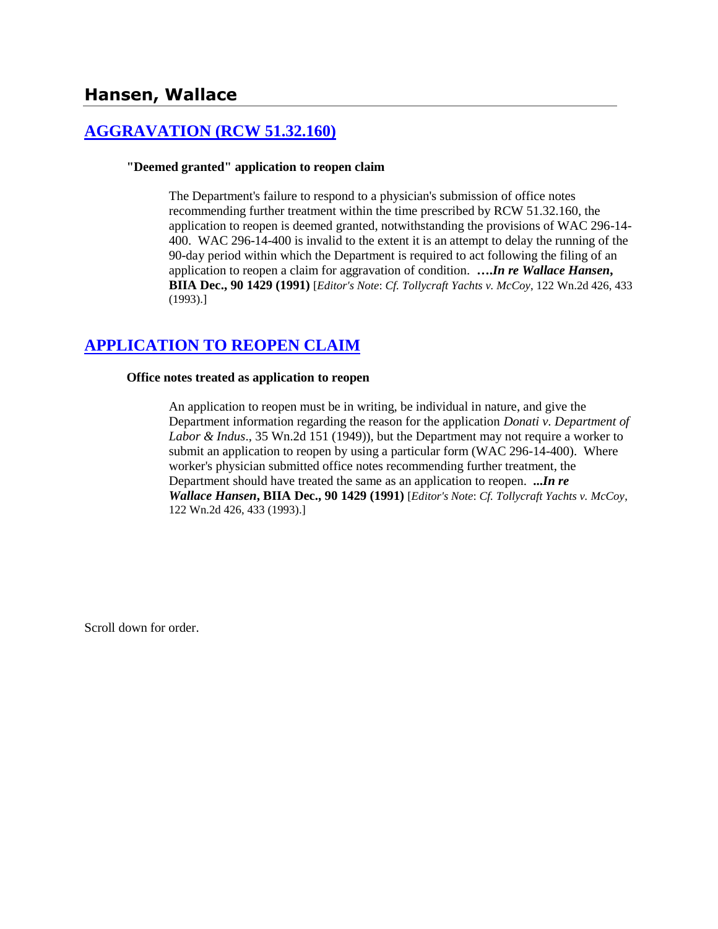# **Hansen, Wallace**

## **[AGGRAVATION \(RCW 51.32.160\)](http://www.biia.wa.gov/SDSubjectIndex.html#AGGRAVATION)**

### **"Deemed granted" application to reopen claim**

The Department's failure to respond to a physician's submission of office notes recommending further treatment within the time prescribed by RCW 51.32.160, the application to reopen is deemed granted, notwithstanding the provisions of WAC 296-14- 400. WAC 296-14-400 is invalid to the extent it is an attempt to delay the running of the 90-day period within which the Department is required to act following the filing of an application to reopen a claim for aggravation of condition. **….***In re Wallace Hansen***, BIIA Dec., 90 1429 (1991)** [*Editor's Note*: *Cf. Tollycraft Yachts v. McCoy*, 122 Wn.2d 426, 433 (1993).]

# **[APPLICATION TO REOPEN CLAIM](http://www.biia.wa.gov/SDSubjectIndex.html#APPLICATION_TO_REOPEN_CLAIM)**

### **Office notes treated as application to reopen**

An application to reopen must be in writing, be individual in nature, and give the Department information regarding the reason for the application *Donati v. Department of Labor & Indus*., 35 Wn.2d 151 (1949)), but the Department may not require a worker to submit an application to reopen by using a particular form (WAC 296-14-400). Where worker's physician submitted office notes recommending further treatment, the Department should have treated the same as an application to reopen. **...***In re Wallace Hansen***, BIIA Dec., 90 1429 (1991)** [*Editor's Note*: *Cf. Tollycraft Yachts v. McCoy*, 122 Wn.2d 426, 433 (1993).]

Scroll down for order.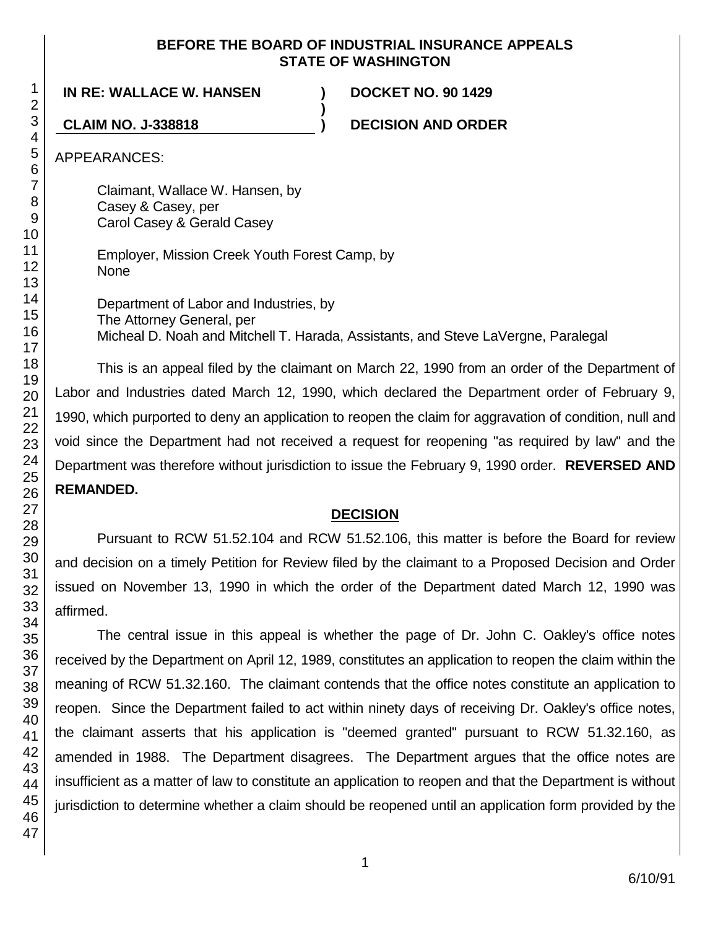### **BEFORE THE BOARD OF INDUSTRIAL INSURANCE APPEALS STATE OF WASHINGTON**

**)**

**IN RE: WALLACE W. HANSEN ) DOCKET NO. 90 1429**

**CLAIM NO. J-338818 ) DECISION AND ORDER**

APPEARANCES:

Claimant, Wallace W. Hansen, by Casey & Casey, per Carol Casey & Gerald Casey

Employer, Mission Creek Youth Forest Camp, by None

Department of Labor and Industries, by The Attorney General, per Micheal D. Noah and Mitchell T. Harada, Assistants, and Steve LaVergne, Paralegal

This is an appeal filed by the claimant on March 22, 1990 from an order of the Department of Labor and Industries dated March 12, 1990, which declared the Department order of February 9, 1990, which purported to deny an application to reopen the claim for aggravation of condition, null and void since the Department had not received a request for reopening "as required by law" and the Department was therefore without jurisdiction to issue the February 9, 1990 order. **REVERSED AND REMANDED.**

## **DECISION**

Pursuant to RCW 51.52.104 and RCW 51.52.106, this matter is before the Board for review and decision on a timely Petition for Review filed by the claimant to a Proposed Decision and Order issued on November 13, 1990 in which the order of the Department dated March 12, 1990 was affirmed.

The central issue in this appeal is whether the page of Dr. John C. Oakley's office notes received by the Department on April 12, 1989, constitutes an application to reopen the claim within the meaning of RCW 51.32.160. The claimant contends that the office notes constitute an application to reopen. Since the Department failed to act within ninety days of receiving Dr. Oakley's office notes, the claimant asserts that his application is "deemed granted" pursuant to RCW 51.32.160, as amended in 1988. The Department disagrees. The Department argues that the office notes are insufficient as a matter of law to constitute an application to reopen and that the Department is without jurisdiction to determine whether a claim should be reopened until an application form provided by the

1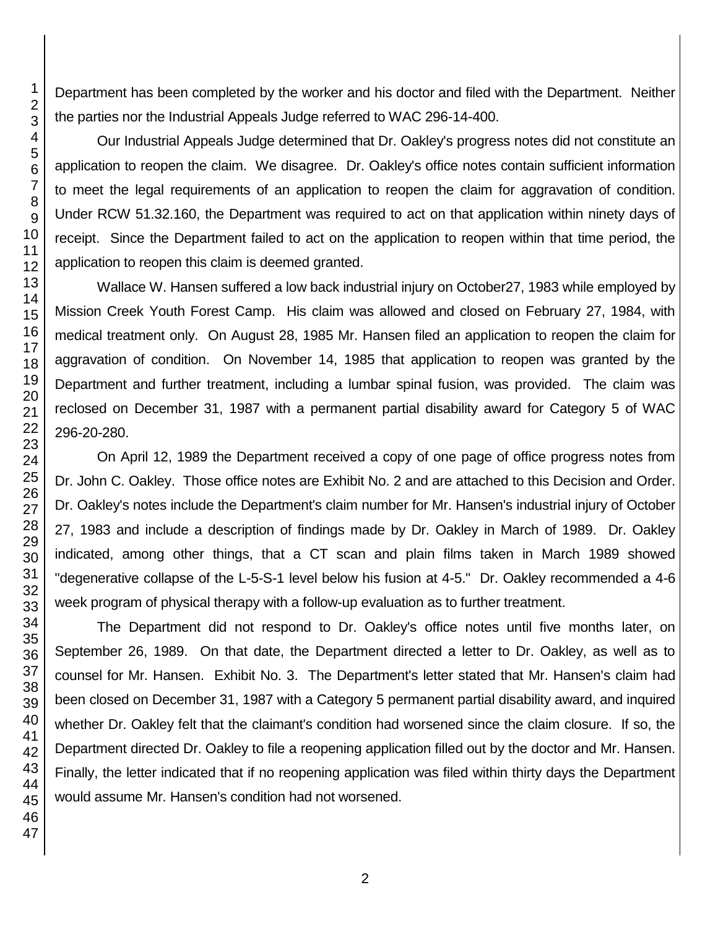Department has been completed by the worker and his doctor and filed with the Department. Neither the parties nor the Industrial Appeals Judge referred to WAC 296-14-400.

Our Industrial Appeals Judge determined that Dr. Oakley's progress notes did not constitute an application to reopen the claim. We disagree. Dr. Oakley's office notes contain sufficient information to meet the legal requirements of an application to reopen the claim for aggravation of condition. Under RCW 51.32.160, the Department was required to act on that application within ninety days of receipt. Since the Department failed to act on the application to reopen within that time period, the application to reopen this claim is deemed granted.

Wallace W. Hansen suffered a low back industrial injury on October27, 1983 while employed by Mission Creek Youth Forest Camp. His claim was allowed and closed on February 27, 1984, with medical treatment only. On August 28, 1985 Mr. Hansen filed an application to reopen the claim for aggravation of condition. On November 14, 1985 that application to reopen was granted by the Department and further treatment, including a lumbar spinal fusion, was provided. The claim was reclosed on December 31, 1987 with a permanent partial disability award for Category 5 of WAC 296-20-280.

On April 12, 1989 the Department received a copy of one page of office progress notes from Dr. John C. Oakley. Those office notes are Exhibit No. 2 and are attached to this Decision and Order. Dr. Oakley's notes include the Department's claim number for Mr. Hansen's industrial injury of October 27, 1983 and include a description of findings made by Dr. Oakley in March of 1989. Dr. Oakley indicated, among other things, that a CT scan and plain films taken in March 1989 showed "degenerative collapse of the L-5-S-1 level below his fusion at 4-5." Dr. Oakley recommended a 4-6 week program of physical therapy with a follow-up evaluation as to further treatment.

The Department did not respond to Dr. Oakley's office notes until five months later, on September 26, 1989. On that date, the Department directed a letter to Dr. Oakley, as well as to counsel for Mr. Hansen. Exhibit No. 3. The Department's letter stated that Mr. Hansen's claim had been closed on December 31, 1987 with a Category 5 permanent partial disability award, and inquired whether Dr. Oakley felt that the claimant's condition had worsened since the claim closure. If so, the Department directed Dr. Oakley to file a reopening application filled out by the doctor and Mr. Hansen. Finally, the letter indicated that if no reopening application was filed within thirty days the Department would assume Mr. Hansen's condition had not worsened.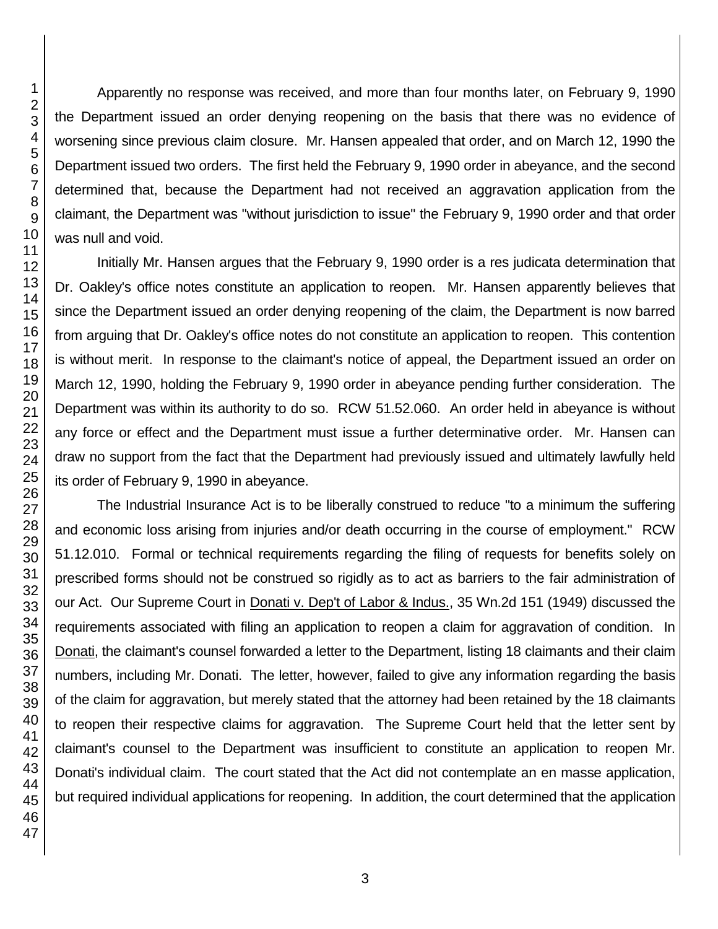Apparently no response was received, and more than four months later, on February 9, 1990 the Department issued an order denying reopening on the basis that there was no evidence of worsening since previous claim closure. Mr. Hansen appealed that order, and on March 12, 1990 the Department issued two orders. The first held the February 9, 1990 order in abeyance, and the second determined that, because the Department had not received an aggravation application from the claimant, the Department was "without jurisdiction to issue" the February 9, 1990 order and that order was null and void.

Initially Mr. Hansen argues that the February 9, 1990 order is a res judicata determination that Dr. Oakley's office notes constitute an application to reopen. Mr. Hansen apparently believes that since the Department issued an order denying reopening of the claim, the Department is now barred from arguing that Dr. Oakley's office notes do not constitute an application to reopen. This contention is without merit. In response to the claimant's notice of appeal, the Department issued an order on March 12, 1990, holding the February 9, 1990 order in abeyance pending further consideration. The Department was within its authority to do so. RCW 51.52.060. An order held in abeyance is without any force or effect and the Department must issue a further determinative order. Mr. Hansen can draw no support from the fact that the Department had previously issued and ultimately lawfully held its order of February 9, 1990 in abeyance.

The Industrial Insurance Act is to be liberally construed to reduce "to a minimum the suffering and economic loss arising from injuries and/or death occurring in the course of employment." RCW 51.12.010. Formal or technical requirements regarding the filing of requests for benefits solely on prescribed forms should not be construed so rigidly as to act as barriers to the fair administration of our Act. Our Supreme Court in Donati v. Dep't of Labor & Indus., 35 Wn.2d 151 (1949) discussed the requirements associated with filing an application to reopen a claim for aggravation of condition. In Donati, the claimant's counsel forwarded a letter to the Department, listing 18 claimants and their claim numbers, including Mr. Donati. The letter, however, failed to give any information regarding the basis of the claim for aggravation, but merely stated that the attorney had been retained by the 18 claimants to reopen their respective claims for aggravation. The Supreme Court held that the letter sent by claimant's counsel to the Department was insufficient to constitute an application to reopen Mr. Donati's individual claim. The court stated that the Act did not contemplate an en masse application, but required individual applications for reopening. In addition, the court determined that the application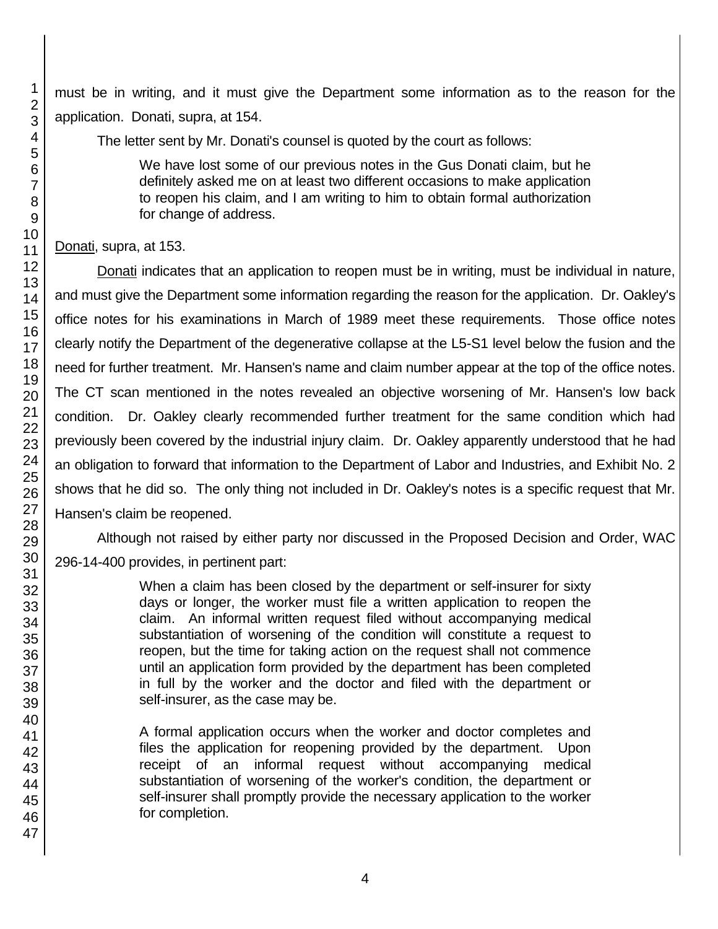must be in writing, and it must give the Department some information as to the reason for the application. Donati, supra, at 154.

The letter sent by Mr. Donati's counsel is quoted by the court as follows:

We have lost some of our previous notes in the Gus Donati claim, but he definitely asked me on at least two different occasions to make application to reopen his claim, and I am writing to him to obtain formal authorization for change of address.

Donati, supra, at 153.

Donati indicates that an application to reopen must be in writing, must be individual in nature, and must give the Department some information regarding the reason for the application. Dr. Oakley's office notes for his examinations in March of 1989 meet these requirements. Those office notes clearly notify the Department of the degenerative collapse at the L5-S1 level below the fusion and the need for further treatment. Mr. Hansen's name and claim number appear at the top of the office notes. The CT scan mentioned in the notes revealed an objective worsening of Mr. Hansen's low back condition. Dr. Oakley clearly recommended further treatment for the same condition which had previously been covered by the industrial injury claim. Dr. Oakley apparently understood that he had an obligation to forward that information to the Department of Labor and Industries, and Exhibit No. 2 shows that he did so. The only thing not included in Dr. Oakley's notes is a specific request that Mr. Hansen's claim be reopened.

Although not raised by either party nor discussed in the Proposed Decision and Order, WAC 296-14-400 provides, in pertinent part:

> When a claim has been closed by the department or self-insurer for sixty days or longer, the worker must file a written application to reopen the claim. An informal written request filed without accompanying medical substantiation of worsening of the condition will constitute a request to reopen, but the time for taking action on the request shall not commence until an application form provided by the department has been completed in full by the worker and the doctor and filed with the department or self-insurer, as the case may be.

> A formal application occurs when the worker and doctor completes and files the application for reopening provided by the department. Upon receipt of an informal request without accompanying medical substantiation of worsening of the worker's condition, the department or self-insurer shall promptly provide the necessary application to the worker for completion.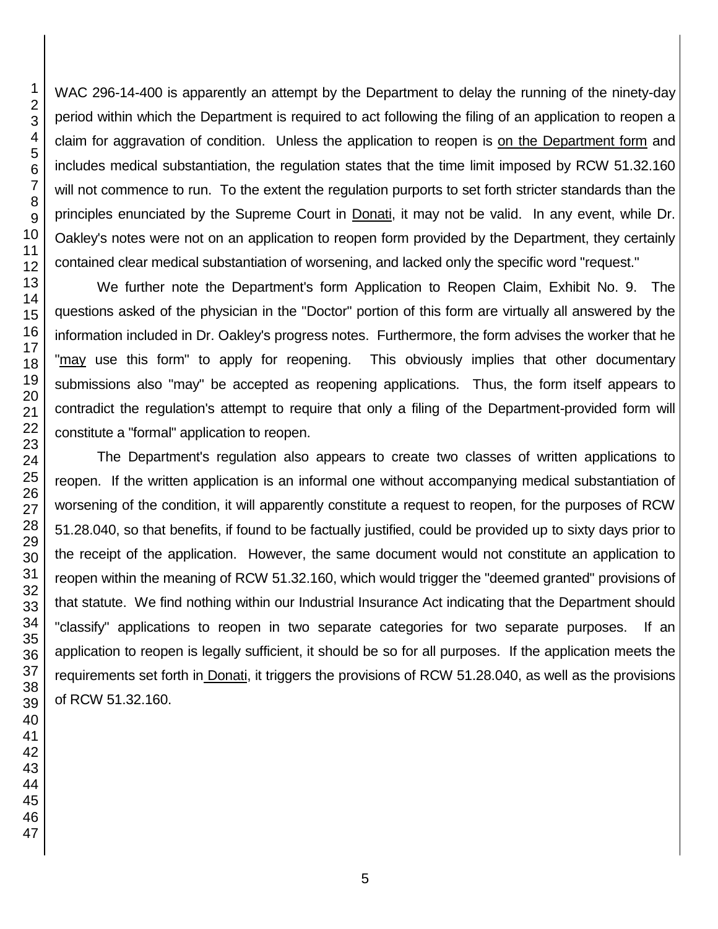WAC 296-14-400 is apparently an attempt by the Department to delay the running of the ninety-day period within which the Department is required to act following the filing of an application to reopen a claim for aggravation of condition. Unless the application to reopen is on the Department form and includes medical substantiation, the regulation states that the time limit imposed by RCW 51.32.160 will not commence to run. To the extent the regulation purports to set forth stricter standards than the principles enunciated by the Supreme Court in Donati, it may not be valid. In any event, while Dr. Oakley's notes were not on an application to reopen form provided by the Department, they certainly contained clear medical substantiation of worsening, and lacked only the specific word "request."

We further note the Department's form Application to Reopen Claim, Exhibit No. 9. The questions asked of the physician in the "Doctor" portion of this form are virtually all answered by the information included in Dr. Oakley's progress notes. Furthermore, the form advises the worker that he "may use this form" to apply for reopening. This obviously implies that other documentary submissions also "may" be accepted as reopening applications. Thus, the form itself appears to contradict the regulation's attempt to require that only a filing of the Department-provided form will constitute a "formal" application to reopen.

The Department's regulation also appears to create two classes of written applications to reopen. If the written application is an informal one without accompanying medical substantiation of worsening of the condition, it will apparently constitute a request to reopen, for the purposes of RCW 51.28.040, so that benefits, if found to be factually justified, could be provided up to sixty days prior to the receipt of the application. However, the same document would not constitute an application to reopen within the meaning of RCW 51.32.160, which would trigger the "deemed granted" provisions of that statute. We find nothing within our Industrial Insurance Act indicating that the Department should "classify" applications to reopen in two separate categories for two separate purposes. If an application to reopen is legally sufficient, it should be so for all purposes. If the application meets the requirements set forth in Donati, it triggers the provisions of RCW 51.28.040, as well as the provisions of RCW 51.32.160.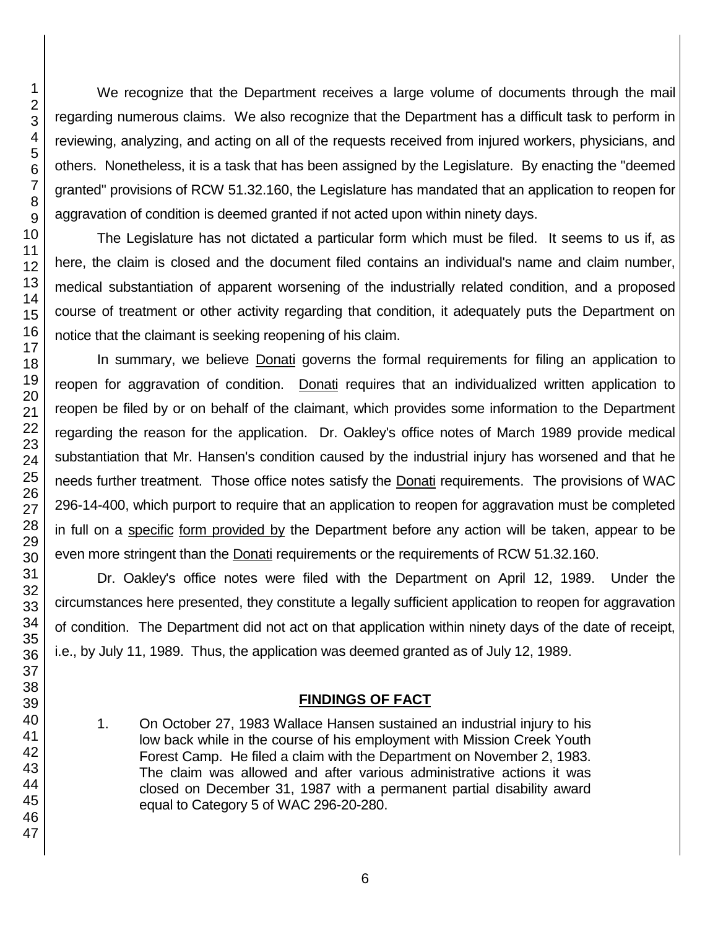We recognize that the Department receives a large volume of documents through the mail regarding numerous claims. We also recognize that the Department has a difficult task to perform in reviewing, analyzing, and acting on all of the requests received from injured workers, physicians, and others. Nonetheless, it is a task that has been assigned by the Legislature. By enacting the "deemed granted" provisions of RCW 51.32.160, the Legislature has mandated that an application to reopen for aggravation of condition is deemed granted if not acted upon within ninety days. The Legislature has not dictated a particular form which must be filed. It seems to us if, as

here, the claim is closed and the document filed contains an individual's name and claim number, medical substantiation of apparent worsening of the industrially related condition, and a proposed course of treatment or other activity regarding that condition, it adequately puts the Department on notice that the claimant is seeking reopening of his claim.

In summary, we believe Donati governs the formal requirements for filing an application to reopen for aggravation of condition. Donati requires that an individualized written application to reopen be filed by or on behalf of the claimant, which provides some information to the Department regarding the reason for the application. Dr. Oakley's office notes of March 1989 provide medical substantiation that Mr. Hansen's condition caused by the industrial injury has worsened and that he needs further treatment. Those office notes satisfy the Donati requirements. The provisions of WAC 296-14-400, which purport to require that an application to reopen for aggravation must be completed in full on a specific form provided by the Department before any action will be taken, appear to be even more stringent than the Donati requirements or the requirements of RCW 51.32.160.

Dr. Oakley's office notes were filed with the Department on April 12, 1989. Under the circumstances here presented, they constitute a legally sufficient application to reopen for aggravation of condition. The Department did not act on that application within ninety days of the date of receipt, i.e., by July 11, 1989. Thus, the application was deemed granted as of July 12, 1989.

## **FINDINGS OF FACT**

1. On October 27, 1983 Wallace Hansen sustained an industrial injury to his low back while in the course of his employment with Mission Creek Youth Forest Camp. He filed a claim with the Department on November 2, 1983. The claim was allowed and after various administrative actions it was closed on December 31, 1987 with a permanent partial disability award equal to Category 5 of WAC 296-20-280.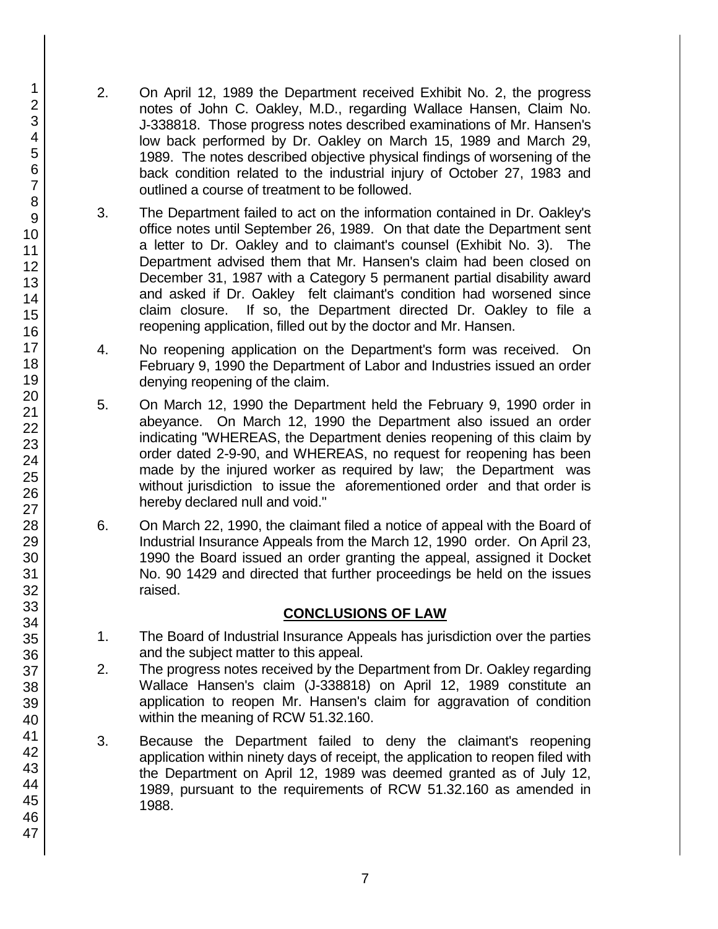- 2. On April 12, 1989 the Department received Exhibit No. 2, the progress notes of John C. Oakley, M.D., regarding Wallace Hansen, Claim No. J-338818. Those progress notes described examinations of Mr. Hansen's low back performed by Dr. Oakley on March 15, 1989 and March 29, 1989. The notes described objective physical findings of worsening of the back condition related to the industrial injury of October 27, 1983 and outlined a course of treatment to be followed.
- 3. The Department failed to act on the information contained in Dr. Oakley's office notes until September 26, 1989. On that date the Department sent a letter to Dr. Oakley and to claimant's counsel (Exhibit No. 3). The Department advised them that Mr. Hansen's claim had been closed on December 31, 1987 with a Category 5 permanent partial disability award and asked if Dr. Oakley felt claimant's condition had worsened since claim closure. If so, the Department directed Dr. Oakley to file a reopening application, filled out by the doctor and Mr. Hansen.
- 4. No reopening application on the Department's form was received. On February 9, 1990 the Department of Labor and Industries issued an order denying reopening of the claim.
- 5. On March 12, 1990 the Department held the February 9, 1990 order in abeyance. On March 12, 1990 the Department also issued an order indicating "WHEREAS, the Department denies reopening of this claim by order dated 2-9-90, and WHEREAS, no request for reopening has been made by the injured worker as required by law; the Department was without jurisdiction to issue the aforementioned order and that order is hereby declared null and void."
- 6. On March 22, 1990, the claimant filed a notice of appeal with the Board of Industrial Insurance Appeals from the March 12, 1990 order. On April 23, 1990 the Board issued an order granting the appeal, assigned it Docket No. 90 1429 and directed that further proceedings be held on the issues raised.

# **CONCLUSIONS OF LAW**

- 1. The Board of Industrial Insurance Appeals has jurisdiction over the parties and the subject matter to this appeal.
- 2. The progress notes received by the Department from Dr. Oakley regarding Wallace Hansen's claim (J-338818) on April 12, 1989 constitute an application to reopen Mr. Hansen's claim for aggravation of condition within the meaning of RCW 51.32.160.
- 3. Because the Department failed to deny the claimant's reopening application within ninety days of receipt, the application to reopen filed with the Department on April 12, 1989 was deemed granted as of July 12, 1989, pursuant to the requirements of RCW 51.32.160 as amended in 1988.

1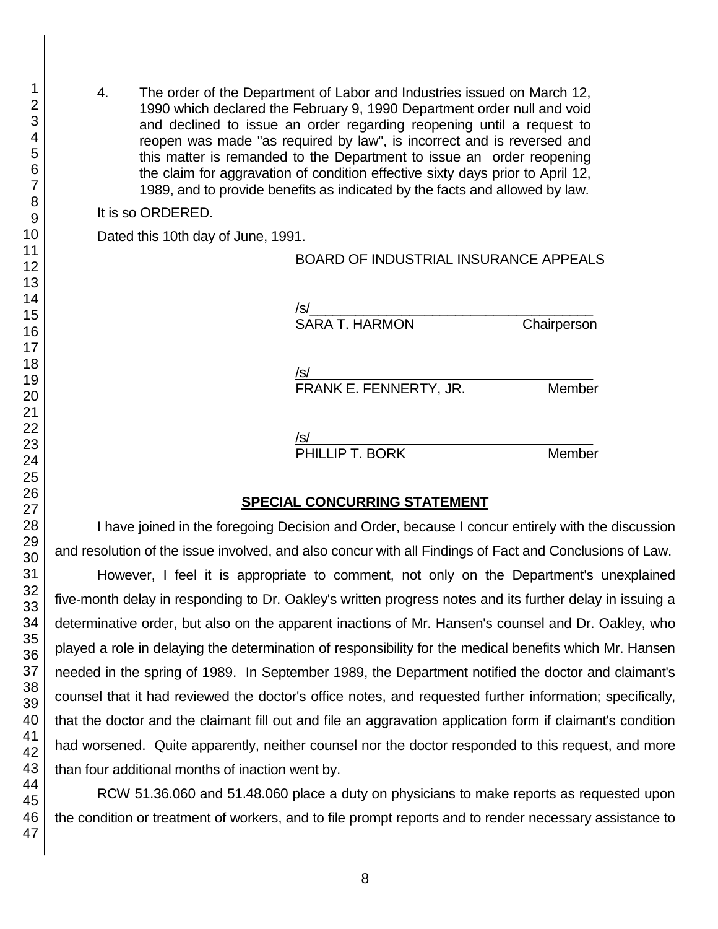4. The order of the Department of Labor and Industries issued on March 12, 1990 which declared the February 9, 1990 Department order null and void and declined to issue an order regarding reopening until a request to reopen was made "as required by law", is incorrect and is reversed and this matter is remanded to the Department to issue an order reopening the claim for aggravation of condition effective sixty days prior to April 12, 1989, and to provide benefits as indicated by the facts and allowed by law.

It is so ORDERED.

Dated this 10th day of June, 1991.

### BOARD OF INDUSTRIAL INSURANCE APPEALS

/s/  $\,$ SARA T. HARMON Chairperson

/s/\_\_\_\_\_\_\_\_\_\_\_\_\_\_\_\_\_\_\_\_\_\_\_\_\_\_\_\_\_\_\_\_\_\_\_\_\_

FRANK E. FENNERTY, JR. Member

/s/\_\_\_\_\_\_\_\_\_\_\_\_\_\_\_\_\_\_\_\_\_\_\_\_\_\_\_\_\_\_\_\_\_\_\_\_\_

PHILLIP T. BORK Member

### **SPECIAL CONCURRING STATEMENT**

I have joined in the foregoing Decision and Order, because I concur entirely with the discussion and resolution of the issue involved, and also concur with all Findings of Fact and Conclusions of Law.

However, I feel it is appropriate to comment, not only on the Department's unexplained five-month delay in responding to Dr. Oakley's written progress notes and its further delay in issuing a determinative order, but also on the apparent inactions of Mr. Hansen's counsel and Dr. Oakley, who played a role in delaying the determination of responsibility for the medical benefits which Mr. Hansen needed in the spring of 1989. In September 1989, the Department notified the doctor and claimant's counsel that it had reviewed the doctor's office notes, and requested further information; specifically, that the doctor and the claimant fill out and file an aggravation application form if claimant's condition had worsened. Quite apparently, neither counsel nor the doctor responded to this request, and more than four additional months of inaction went by.

RCW 51.36.060 and 51.48.060 place a duty on physicians to make reports as requested upon the condition or treatment of workers, and to file prompt reports and to render necessary assistance to